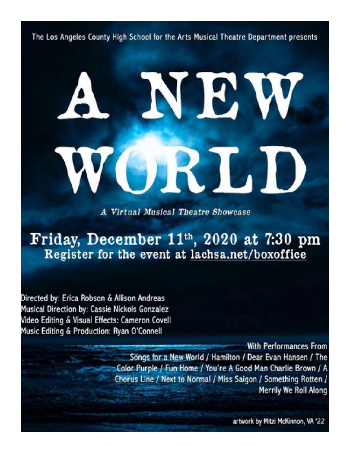The Los Angeles County High School for the Arts Musical Theatre Department presents

A Virtual Musical Theatre Showcase

# Friday, December 11th, 2020 at 7:30 pm Register for the event at lachsa.net/boxoffice

Directed by: Erica Robson & Allison Andreas Musical Direction by: Cassie Nickols Gonzalez Video Editing & Visual Effects: Cameron Covell Music Editing & Production: Ryan O'Connell

> **With Performances From** Songs for a New World / Hamilton / Dear Evan Hansen / The Color Purple / Fun Home / You're A Good Man Charlie Brown / A Chorus Line / Next to Normal / Miss Saigon / Something Rotten / Merrily We Roll Along

> > artwork by Mitzi McKinnon, VA '22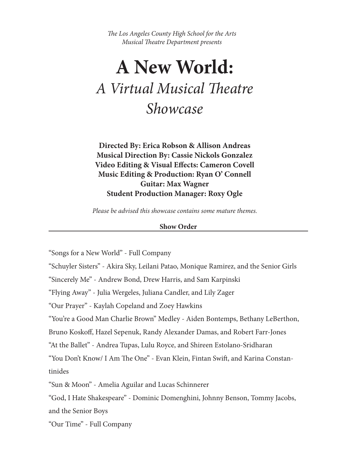*The Los Angeles County High School for the Arts Musical Theatre Department presents*

# **A New World:** *A Virtual Musical Theatre Showcase*

**Directed By: Erica Robson & Allison Andreas Musical Direction By: Cassie Nickols Gonzalez Video Editing & Visual Effects: Cameron Covell Music Editing & Production: Ryan O' Connell Guitar: Max Wagner Student Production Manager: Roxy Ogle**

*Please be advised this showcase contains some mature themes.* 

#### **Show Order**

"Songs for a New World" - Full Company

"Schuyler Sisters" - Akira Sky, Leilani Patao, Monique Ramirez, and the Senior Girls

"Sincerely Me" - Andrew Bond, Drew Harris, and Sam Karpinski

"Flying Away" - Julia Wergeles, Juliana Candler, and Lily Zager

"Our Prayer" - Kaylah Copeland and Zoey Hawkins

"You're a Good Man Charlie Brown" Medley - Aiden Bontemps, Bethany LeBerthon,

Bruno Koskoff, Hazel Sepenuk, Randy Alexander Damas, and Robert Farr-Jones

"At the Ballet" - Andrea Tupas, Lulu Royce, and Shireen Estolano-Sridharan

"You Don't Know/ I Am The One" - Evan Klein, Fintan Swift, and Karina Constantinides

"Sun & Moon" - Amelia Aguilar and Lucas Schinnerer

"God, I Hate Shakespeare" - Dominic Domenghini, Johnny Benson, Tommy Jacobs, and the Senior Boys

"Our Time" - Full Company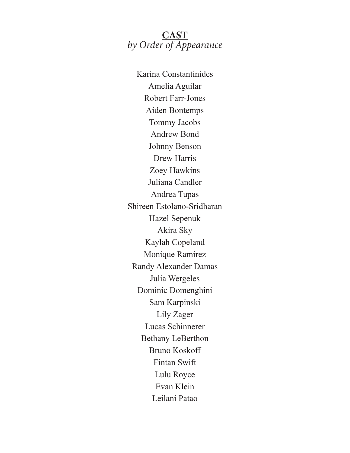# **CAST** *by Order of Appearance*

Karina Constantinides Amelia Aguilar Robert Farr-Jones Aiden Bontemps Tommy Jacobs Andrew Bond Johnny Benson Drew Harris Zoey Hawkins Juliana Candler Andrea Tupas Shireen Estolano-Sridharan Hazel Sepenuk Akira Sky Kaylah Copeland Monique Ramirez Randy Alexander Damas Julia Wergeles Dominic Domenghini Sam Karpinski Lily Zager Lucas Schinnerer Bethany LeBerthon Bruno Koskoff Fintan Swift Lulu Royce Evan Klein Leilani Patao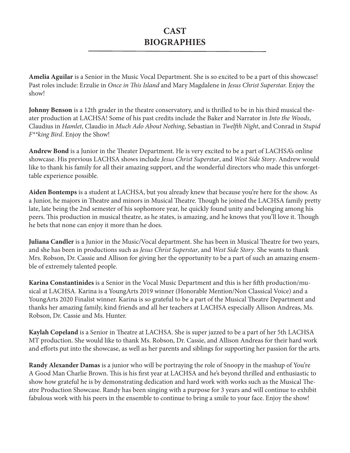**Amelia Aguilar** is a Senior in the Music Vocal Department. She is so excited to be a part of this showcase! Past roles include: Erzulie in *Once in This Island* and Mary Magdalene in *Jesus Christ Superstar.* Enjoy the show!

**Johnny Benson** is a 12th grader in the theatre conservatory, and is thrilled to be in his third musical theater production at LACHSA! Some of his past credits include the Baker and Narrator in *Into the Woods*, Claudius in *Hamlet*, Claudio in *Much Ado About Nothing*, Sebastian in *Twelfth Night*, and Conrad in *Stupid F\*\*king Bird*. Enjoy the Show!

**Andrew Bond** is a Junior in the Theater Department. He is very excited to be a part of LACHSA's online showcase. His previous LACHSA shows include *Jesus Christ Superstar*, and *West Side Story*. Andrew would like to thank his family for all their amazing support, and the wonderful directors who made this unforgettable experience possible.

**Aiden Bontemps** is a student at LACHSA, but you already knew that because you're here for the show. As a Junior, he majors in Theatre and minors in Musical Theatre. Though he joined the LACHSA family pretty late, late being the 2nd semester of his sophomore year, he quickly found unity and belonging among his peers. This production in musical theatre, as he states, is amazing, and he knows that you'll love it. Though he bets that none can enjoy it more than he does.

**Juliana Candler** is a Junior in the Music/Vocal department. She has been in Musical Theatre for two years, and she has been in productions such as *Jesus Christ Superstar*, and *West Side Story*. She wants to thank Mrs. Robson, Dr. Cassie and Allison for giving her the opportunity to be a part of such an amazing ensemble of extremely talented people.

**Karina Constantinides** is a Senior in the Vocal Music Department and this is her fifth production/musical at LACHSA. Karina is a YoungArts 2019 winner (Honorable Mention/Non Classical Voice) and a YoungArts 2020 Finalist winner. Karina is so grateful to be a part of the Musical Theatre Department and thanks her amazing family, kind friends and all her teachers at LACHSA especially Allison Andreas, Ms. Robson, Dr. Cassie and Ms. Hunter.

**Kaylah Copeland** is a Senior in Theatre at LACHSA. She is super jazzed to be a part of her 5th LACHSA MT production. She would like to thank Ms. Robson, Dr. Cassie, and Allison Andreas for their hard work and efforts put into the showcase, as well as her parents and siblings for supporting her passion for the arts.

**Randy Alexander Damas** is a junior who will be portraying the role of Snoopy in the mashup of You're A Good Man Charlie Brown. This is his first year at LACHSA and he's beyond thrilled and enthusiastic to show how grateful he is by demonstrating dedication and hard work with works such as the Musical Theatre Production Showcase. Randy has been singing with a purpose for 3 years and will continue to exhibit fabulous work with his peers in the ensemble to continue to bring a smile to your face. Enjoy the show!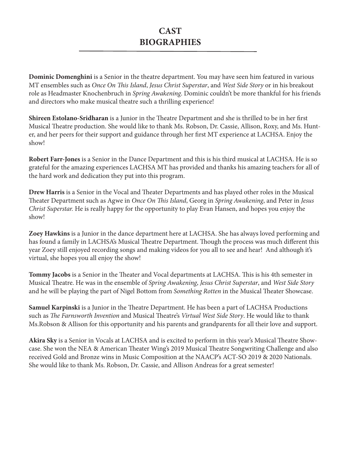**Dominic Domenghini** is a Senior in the theatre department. You may have seen him featured in various MT ensembles such as *Once On This Island*, *Jesus Christ Superstar*, and *West Side Story* or in his breakout role as Headmaster Knochenbruch in *Spring Awakening*. Dominic couldn't be more thankful for his friends and directors who make musical theatre such a thrilling experience!

**Shireen Estolano-Sridharan** is a Junior in the Theatre Department and she is thrilled to be in her first Musical Theatre production. She would like to thank Ms. Robson, Dr. Cassie, Allison, Roxy, and Ms. Hunter, and her peers for their support and guidance through her first MT experience at LACHSA. Enjoy the show!

**Robert Farr-Jones** is a Senior in the Dance Department and this is his third musical at LACHSA. He is so grateful for the amazing experiences LACHSA MT has provided and thanks his amazing teachers for all of the hard work and dedication they put into this program.

**Drew Harris** is a Senior in the Vocal and Theater Departments and has played other roles in the Musical Theater Department such as Agwe in *Once On This Island*, Georg in *Spring Awakening*, and Peter in *Jesus Christ Superstar.* He is really happy for the opportunity to play Evan Hansen, and hopes you enjoy the show!

**Zoey Hawkins** is a Junior in the dance department here at LACHSA. She has always loved performing and has found a family in LACHSA's Musical Theatre Department. Though the process was much different this year Zoey still enjoyed recording songs and making videos for you all to see and hear! And although it's virtual, she hopes you all enjoy the show!

**Tommy Jacobs** is a Senior in the Theater and Vocal departments at LACHSA. This is his 4th semester in Musical Theatre. He was in the ensemble of *Spring Awakening*, *Jesus Christ Superstar*, and *West Side Story* and he will be playing the part of Nigel Bottom from *Something Rotten* in the Musical Theater Showcase.

**Samuel Karpinski** is a Junior in the Theatre Department. He has been a part of LACHSA Productions such as *The Farnsworth Invention* and Musical Theatre's *Virtual West Side Story*. He would like to thank Ms.Robson & Allison for this opportunity and his parents and grandparents for all their love and support.

**Akira Sky** is a Senior in Vocals at LACHSA and is excited to perform in this year's Musical Theatre Showcase. She won the NEA & American Theater Wing's 2019 Musical Theatre Songwriting Challenge and also received Gold and Bronze wins in Music Composition at the NAACP's ACT-SO 2019 & 2020 Nationals. She would like to thank Ms. Robson, Dr. Cassie, and Allison Andreas for a great semester!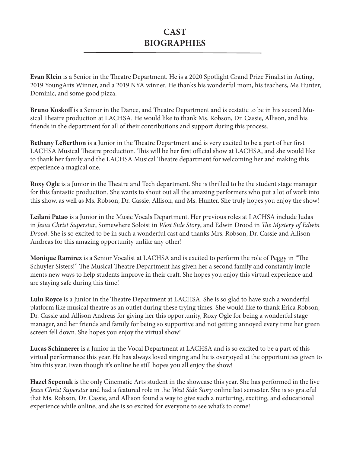**Evan Klein** is a Senior in the Theatre Department. He is a 2020 Spotlight Grand Prize Finalist in Acting, 2019 YoungArts Winner, and a 2019 NYA winner. He thanks his wonderful mom, his teachers, Ms Hunter, Dominic, and some good pizza.

**Bruno Koskoff** is a Senior in the Dance, and Theatre Department and is ecstatic to be in his second Musical Theatre production at LACHSA. He would like to thank Ms. Robson, Dr. Cassie, Allison, and his friends in the department for all of their contributions and support during this process.

**Bethany LeBerthon** is a Junior in the Theatre Department and is very excited to be a part of her first LACHSA Musical Theatre production. This will be her first official show at LACHSA, and she would like to thank her family and the LACHSA Musical Theatre department for welcoming her and making this experience a magical one.

**Roxy Ogle** is a Junior in the Theatre and Tech department. She is thrilled to be the student stage manager for this fantastic production. She wants to shout out all the amazing performers who put a lot of work into this show, as well as Ms. Robson, Dr. Cassie, Allison, and Ms. Hunter. She truly hopes you enjoy the show!

**Leilani Patao** is a Junior in the Music Vocals Department. Her previous roles at LACHSA include Judas in *Jesus Christ Superstar*, Somewhere Soloist in *West Side Story*, and Edwin Drood in *The Mystery of Edwin Drood*. She is so excited to be in such a wonderful cast and thanks Mrs. Robson, Dr. Cassie and Allison Andreas for this amazing opportunity unlike any other!

**Monique Ramirez** is a Senior Vocalist at LACHSA and is excited to perform the role of Peggy in "The Schuyler Sisters!" The Musical Theatre Department has given her a second family and constantly implements new ways to help students improve in their craft. She hopes you enjoy this virtual experience and are staying safe during this time!

**Lulu Royce** is a Junior in the Theatre Department at LACHSA. She is so glad to have such a wonderful platform like musical theatre as an outlet during these trying times. She would like to thank Erica Robson, Dr. Cassie and Allison Andreas for giving her this opportunity, Roxy Ogle for being a wonderful stage manager, and her friends and family for being so supportive and not getting annoyed every time her green screen fell down. She hopes you enjoy the virtual show!

**Lucas Schinnerer** is a Junior in the Vocal Department at LACHSA and is so excited to be a part of this virtual performance this year. He has always loved singing and he is overjoyed at the opportunities given to him this year. Even though it's online he still hopes you all enjoy the show!

**Hazel Sepenuk** is the only Cinematic Arts student in the showcase this year. She has performed in the live *Jesus Christ Superstar* and had a featured role in the *West Side Story* online last semester. She is so grateful that Ms. Robson, Dr. Cassie, and Allison found a way to give such a nurturing, exciting, and educational experience while online, and she is so excited for everyone to see what's to come!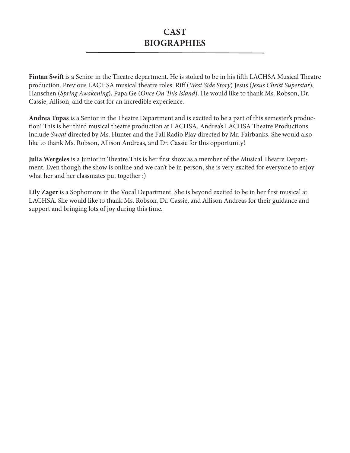**Fintan Swift** is a Senior in the Theatre department. He is stoked to be in his fifth LACHSA Musical Theatre production. Previous LACHSA musical theatre roles: Riff (*West Side Story*) Jesus (*Jesus Christ Superstar*), Hanschen (*Spring Awakening*), Papa Ge (*Once On This Island*). He would like to thank Ms. Robson, Dr. Cassie, Allison, and the cast for an incredible experience.

**Andrea Tupas** is a Senior in the Theatre Department and is excited to be a part of this semester's production! This is her third musical theatre production at LACHSA. Andrea's LACHSA Theatre Productions include *Sweat* directed by Ms. Hunter and the Fall Radio Play directed by Mr. Fairbanks. She would also like to thank Ms. Robson, Allison Andreas, and Dr. Cassie for this opportunity!

**Julia Wergeles** is a Junior in Theatre.This is her first show as a member of the Musical Theatre Department. Even though the show is online and we can't be in person, she is very excited for everyone to enjoy what her and her classmates put together :)

**Lily Zager** is a Sophomore in the Vocal Department. She is beyond excited to be in her first musical at LACHSA. She would like to thank Ms. Robson, Dr. Cassie, and Allison Andreas for their guidance and support and bringing lots of joy during this time.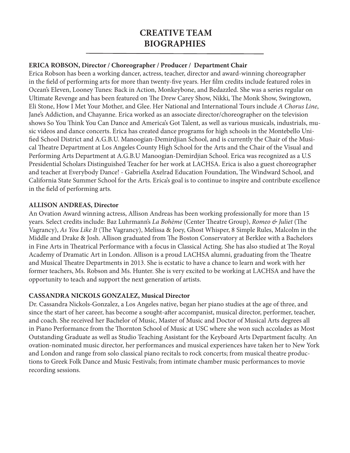# **CREATIVE TEAM BIOGRAPHIES**

#### **ERICA ROBSON, Director / Choreographer / Producer / Department Chair**

Erica Robson has been a working dancer, actress, teacher, director and award-winning choreographer in the field of performing arts for more than twenty-five years. Her film credits include featured roles in Ocean's Eleven, Looney Tunes: Back in Action, Monkeybone, and Bedazzled. She was a series regular on Ultimate Revenge and has been featured on The Drew Carey Show, Nikki, The Monk Show, Swingtown, Eli Stone, How I Met Your Mother, and Glee. Her National and International Tours include *A Chorus Line*, Jane's Addiction, and Chayanne. Erica worked as an associate director/choreographer on the television shows So You Think You Can Dance and America's Got Talent, as well as various musicals, industrials, music videos and dance concerts. Erica has created dance programs for high schools in the Montebello Unified School District and A.G.B.U. Manoogian-Demirdjian School, and is currently the Chair of the Musical Theatre Department at Los Angeles County High School for the Arts and the Chair of the Visual and Performing Arts Department at A.G.B.U Manoogian-Demirdjian School. Erica was recognized as a U.S Presidential Scholars Distinguished Teacher for her work at LACHSA. Erica is also a guest choreographer and teacher at Everybody Dance! - Gabriella Axelrad Education Foundation, The Windward School, and California State Summer School for the Arts. Erica's goal is to continue to inspire and contribute excellence in the field of performing arts.

#### **ALLISON ANDREAS, Director**

An Ovation Award winning actress, Allison Andreas has been working professionally for more than 15 years. Select credits include: Baz Luhrmann's *La Bohème* (Center Theatre Group), *Romeo & Juliet* (The Vagrancy), *As You Like It* (The Vagrancy), Melissa & Joey, Ghost Whisper, 8 Simple Rules, Malcolm in the Middle and Drake & Josh. Allison graduated from The Boston Conservatory at Berklee with a Bachelors in Fine Arts in Theatrical Performance with a focus in Classical Acting. She has also studied at The Royal Academy of Dramatic Art in London. Allison is a proud LACHSA alumni, graduating from the Theatre and Musical Theatre Departments in 2013. She is ecstatic to have a chance to learn and work with her former teachers, Ms. Robson and Ms. Hunter. She is very excited to be working at LACHSA and have the opportunity to teach and support the next generation of artists.

#### **CASSANDRA NICKOLS GONZALEZ, Musical Director**

Dr. Cassandra Nickols-Gonzalez, a Los Angeles native, began her piano studies at the age of three, and since the start of her career, has become a sought-after accompanist, musical director, performer, teacher, and coach. She received her Bachelor of Music, Master of Music and Doctor of Musical Arts degrees all in Piano Performance from the Thornton School of Music at USC where she won such accolades as Most Outstanding Graduate as well as Studio Teaching Assistant for the Keyboard Arts Department faculty. An ovation-nominated music director, her performances and musical experiences have taken her to New York and London and range from solo classical piano recitals to rock concerts; from musical theatre productions to Greek Folk Dance and Music Festivals; from intimate chamber music performances to movie recording sessions.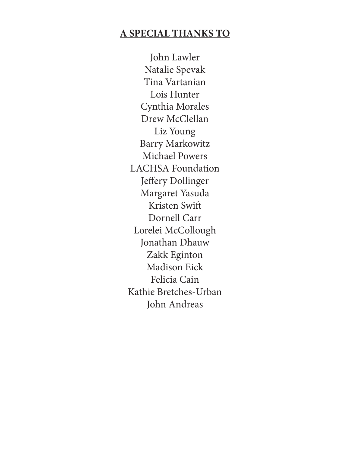# **A SPECIAL THANKS TO**

John Lawler Natalie Spevak Tina Vartanian Lois Hunter Cynthia Morales Drew McClellan Liz Young Barry Markowitz Michael Powers LACHSA Foundation Jeffery Dollinger Margaret Yasuda Kristen Swift Dornell Carr Lorelei McCollough Jonathan Dhauw Zakk Eginton Madison Eick Felicia Cain Kathie Bretches-Urban John Andreas